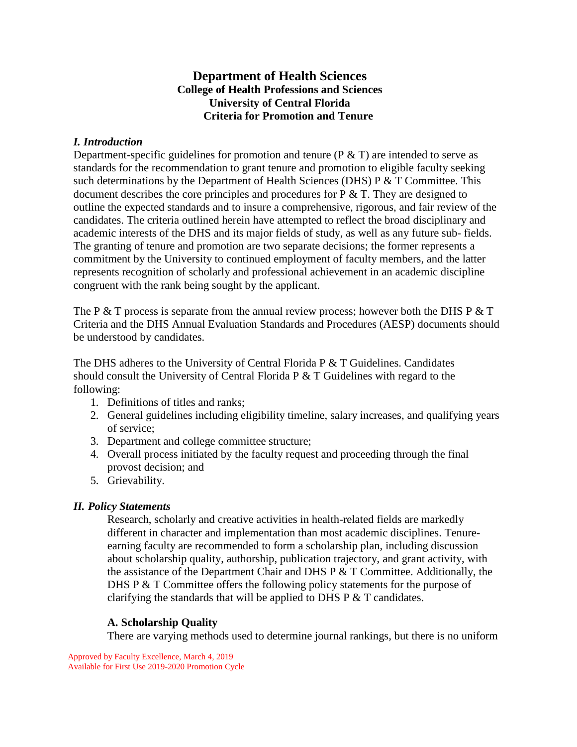# **Department of Health Sciences College of Health Professions and Sciences University of Central Florida Criteria for Promotion and Tenure**

## *I. Introduction*

Department-specific guidelines for promotion and tenure ( $P \& T$ ) are intended to serve as standards for the recommendation to grant tenure and promotion to eligible faculty seeking such determinations by the Department of Health Sciences (DHS)  $P \& T$  Committee. This document describes the core principles and procedures for  $P \& T$ . They are designed to outline the expected standards and to insure a comprehensive, rigorous, and fair review of the candidates. The criteria outlined herein have attempted to reflect the broad disciplinary and academic interests of the DHS and its major fields of study, as well as any future sub- fields. The granting of tenure and promotion are two separate decisions; the former represents a commitment by the University to continued employment of faculty members, and the latter represents recognition of scholarly and professional achievement in an academic discipline congruent with the rank being sought by the applicant.

The P  $&$  T process is separate from the annual review process; however both the DHS P  $&$  T Criteria and the DHS Annual Evaluation Standards and Procedures (AESP) documents should be understood by candidates.

The DHS adheres to the University of Central Florida P & T Guidelines. Candidates should consult the University of Central Florida P & T Guidelines with regard to the following:

- 1. Definitions of titles and ranks;
- 2. General guidelines including eligibility timeline, salary increases, and qualifying years of service;
- 3. Department and college committee structure;
- 4. Overall process initiated by the faculty request and proceeding through the final provost decision; and
- 5. Grievability.

## *II. Policy Statements*

Research, scholarly and creative activities in health-related fields are markedly different in character and implementation than most academic disciplines. Tenureearning faculty are recommended to form a scholarship plan, including discussion about scholarship quality, authorship, publication trajectory, and grant activity, with the assistance of the Department Chair and DHS  $P \& T$  Committee. Additionally, the DHS P  $\&$  T Committee offers the following policy statements for the purpose of clarifying the standards that will be applied to DHS P & T candidates.

## **A. Scholarship Quality**

There are varying methods used to determine journal rankings, but there is no uniform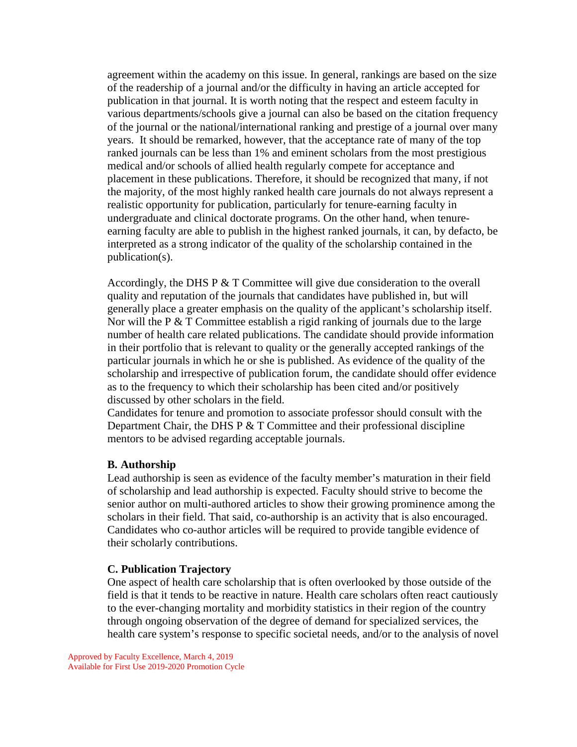agreement within the academy on this issue. In general, rankings are based on the size of the readership of a journal and/or the difficulty in having an article accepted for publication in that journal. It is worth noting that the respect and esteem faculty in various departments/schools give a journal can also be based on the citation frequency of the journal or the national/international ranking and prestige of a journal over many years. It should be remarked, however, that the acceptance rate of many of the top ranked journals can be less than 1% and eminent scholars from the most prestigious medical and/or schools of allied health regularly compete for acceptance and placement in these publications. Therefore, it should be recognized that many, if not the majority, of the most highly ranked health care journals do not always represent a realistic opportunity for publication, particularly for tenure-earning faculty in undergraduate and clinical doctorate programs. On the other hand, when tenureearning faculty are able to publish in the highest ranked journals, it can, by defacto, be interpreted as a strong indicator of the quality of the scholarship contained in the publication(s).

Accordingly, the DHS P  $&$  T Committee will give due consideration to the overall quality and reputation of the journals that candidates have published in, but will generally place a greater emphasis on the quality of the applicant's scholarship itself. Nor will the P & T Committee establish a rigid ranking of journals due to the large number of health care related publications. The candidate should provide information in their portfolio that is relevant to quality or the generally accepted rankings of the particular journals in which he or she is published. As evidence of the quality of the scholarship and irrespective of publication forum, the candidate should offer evidence as to the frequency to which their scholarship has been cited and/or positively discussed by other scholars in the field.

Candidates for tenure and promotion to associate professor should consult with the Department Chair, the DHS  $P \& T$  Committee and their professional discipline mentors to be advised regarding acceptable journals.

#### **B. Authorship**

Lead authorship is seen as evidence of the faculty member's maturation in their field of scholarship and lead authorship is expected. Faculty should strive to become the senior author on multi-authored articles to show their growing prominence among the scholars in their field. That said, co-authorship is an activity that is also encouraged. Candidates who co-author articles will be required to provide tangible evidence of their scholarly contributions.

#### **C. Publication Trajectory**

One aspect of health care scholarship that is often overlooked by those outside of the field is that it tends to be reactive in nature. Health care scholars often react cautiously to the ever-changing mortality and morbidity statistics in their region of the country through ongoing observation of the degree of demand for specialized services, the health care system's response to specific societal needs, and/or to the analysis of novel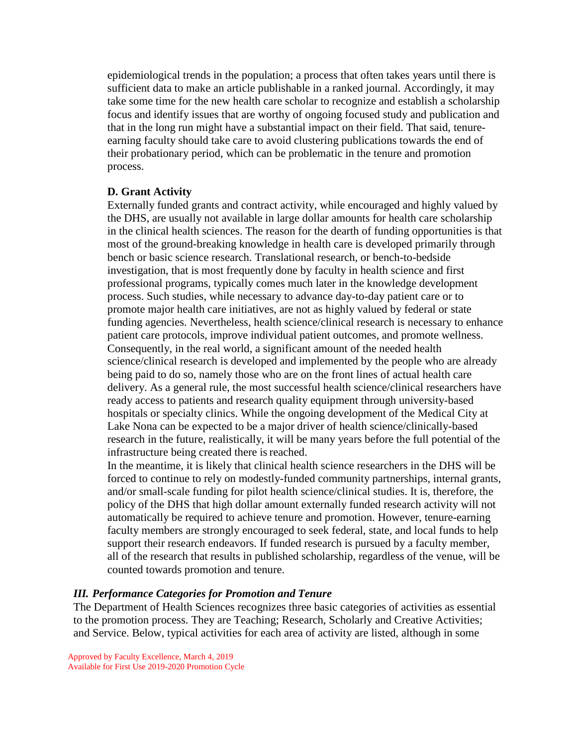epidemiological trends in the population; a process that often takes years until there is sufficient data to make an article publishable in a ranked journal. Accordingly, it may take some time for the new health care scholar to recognize and establish a scholarship focus and identify issues that are worthy of ongoing focused study and publication and that in the long run might have a substantial impact on their field. That said, tenureearning faculty should take care to avoid clustering publications towards the end of their probationary period, which can be problematic in the tenure and promotion process.

#### **D. Grant Activity**

Externally funded grants and contract activity, while encouraged and highly valued by the DHS, are usually not available in large dollar amounts for health care scholarship in the clinical health sciences. The reason for the dearth of funding opportunities is that most of the ground-breaking knowledge in health care is developed primarily through bench or basic science research. Translational research, or bench-to-bedside investigation, that is most frequently done by faculty in health science and first professional programs, typically comes much later in the knowledge development process. Such studies, while necessary to advance day-to-day patient care or to promote major health care initiatives, are not as highly valued by federal or state funding agencies. Nevertheless, health science/clinical research is necessary to enhance patient care protocols, improve individual patient outcomes, and promote wellness. Consequently, in the real world, a significant amount of the needed health science/clinical research is developed and implemented by the people who are already being paid to do so, namely those who are on the front lines of actual health care delivery. As a general rule, the most successful health science/clinical researchers have ready access to patients and research quality equipment through university-based hospitals or specialty clinics. While the ongoing development of the Medical City at Lake Nona can be expected to be a major driver of health science/clinically-based research in the future, realistically, it will be many years before the full potential of the infrastructure being created there is reached.

In the meantime, it is likely that clinical health science researchers in the DHS will be forced to continue to rely on modestly-funded community partnerships, internal grants, and/or small-scale funding for pilot health science/clinical studies. It is, therefore, the policy of the DHS that high dollar amount externally funded research activity will not automatically be required to achieve tenure and promotion. However, tenure-earning faculty members are strongly encouraged to seek federal, state, and local funds to help support their research endeavors. If funded research is pursued by a faculty member, all of the research that results in published scholarship, regardless of the venue, will be counted towards promotion and tenure.

#### *III. Performance Categories for Promotion and Tenure*

The Department of Health Sciences recognizes three basic categories of activities as essential to the promotion process. They are Teaching; Research, Scholarly and Creative Activities; and Service. Below, typical activities for each area of activity are listed, although in some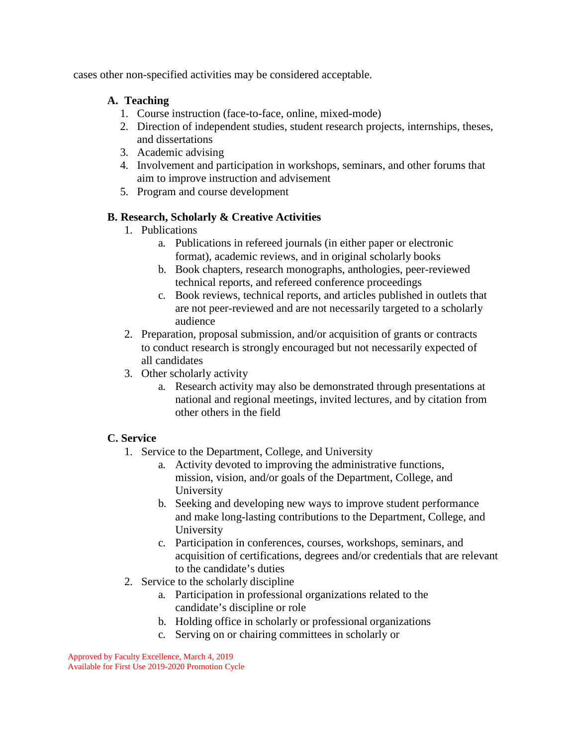cases other non-specified activities may be considered acceptable.

# **A. Teaching**

- 1. Course instruction (face-to-face, online, mixed-mode)
- 2. Direction of independent studies, student research projects, internships, theses, and dissertations
- 3. Academic advising
- 4. Involvement and participation in workshops, seminars, and other forums that aim to improve instruction and advisement
- 5. Program and course development

# **B. Research, Scholarly & Creative Activities**

- 1. Publications
	- a. Publications in refereed journals (in either paper or electronic format), academic reviews, and in original scholarly books
	- b. Book chapters, research monographs, anthologies, peer-reviewed technical reports, and refereed conference proceedings
	- c. Book reviews, technical reports, and articles published in outlets that are not peer-reviewed and are not necessarily targeted to a scholarly audience
- 2. Preparation, proposal submission, and/or acquisition of grants or contracts to conduct research is strongly encouraged but not necessarily expected of all candidates
- 3. Other scholarly activity
	- a. Research activity may also be demonstrated through presentations at national and regional meetings, invited lectures, and by citation from other others in the field

# **C. Service**

- 1. Service to the Department, College, and University
	- a. Activity devoted to improving the administrative functions, mission, vision, and/or goals of the Department, College, and University
	- b. Seeking and developing new ways to improve student performance and make long-lasting contributions to the Department, College, and University
	- c. Participation in conferences, courses, workshops, seminars, and acquisition of certifications, degrees and/or credentials that are relevant to the candidate's duties
- 2. Service to the scholarly discipline
	- a. Participation in professional organizations related to the candidate's discipline or role
	- b. Holding office in scholarly or professional organizations
	- c. Serving on or chairing committees in scholarly or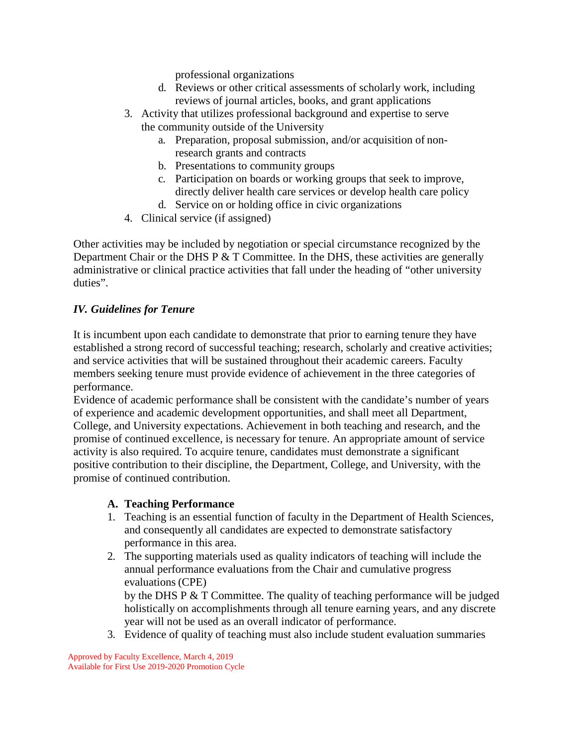professional organizations

- d. Reviews or other critical assessments of scholarly work, including reviews of journal articles, books, and grant applications
- 3. Activity that utilizes professional background and expertise to serve the community outside of the University
	- a. Preparation, proposal submission, and/or acquisition of nonresearch grants and contracts
	- b. Presentations to community groups
	- c. Participation on boards or working groups that seek to improve, directly deliver health care services or develop health care policy
	- d. Service on or holding office in civic organizations
- 4. Clinical service (if assigned)

Other activities may be included by negotiation or special circumstance recognized by the Department Chair or the DHS P  $&$  T Committee. In the DHS, these activities are generally administrative or clinical practice activities that fall under the heading of "other university duties".

# *IV. Guidelines for Tenure*

It is incumbent upon each candidate to demonstrate that prior to earning tenure they have established a strong record of successful teaching; research, scholarly and creative activities; and service activities that will be sustained throughout their academic careers. Faculty members seeking tenure must provide evidence of achievement in the three categories of performance.

Evidence of academic performance shall be consistent with the candidate's number of years of experience and academic development opportunities, and shall meet all Department, College, and University expectations. Achievement in both teaching and research, and the promise of continued excellence, is necessary for tenure. An appropriate amount of service activity is also required. To acquire tenure, candidates must demonstrate a significant positive contribution to their discipline, the Department, College, and University, with the promise of continued contribution.

## **A. Teaching Performance**

- 1. Teaching is an essential function of faculty in the Department of Health Sciences, and consequently all candidates are expected to demonstrate satisfactory performance in this area.
- 2. The supporting materials used as quality indicators of teaching will include the annual performance evaluations from the Chair and cumulative progress evaluations (CPE)

by the DHS P & T Committee. The quality of teaching performance will be judged holistically on accomplishments through all tenure earning years, and any discrete year will not be used as an overall indicator of performance.

3. Evidence of quality of teaching must also include student evaluation summaries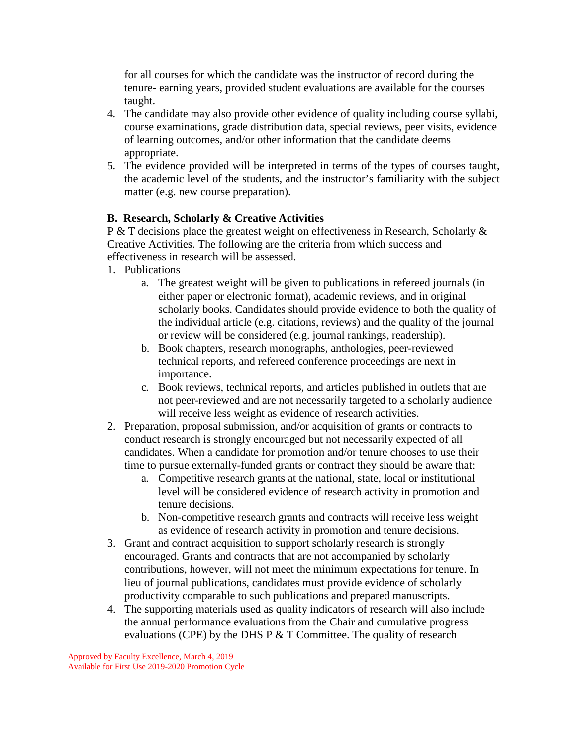for all courses for which the candidate was the instructor of record during the tenure- earning years, provided student evaluations are available for the courses taught.

- 4. The candidate may also provide other evidence of quality including course syllabi, course examinations, grade distribution data, special reviews, peer visits, evidence of learning outcomes, and/or other information that the candidate deems appropriate.
- 5. The evidence provided will be interpreted in terms of the types of courses taught, the academic level of the students, and the instructor's familiarity with the subject matter (e.g. new course preparation).

# **B. Research, Scholarly & Creative Activities**

P & T decisions place the greatest weight on effectiveness in Research, Scholarly & Creative Activities. The following are the criteria from which success and effectiveness in research will be assessed.

- 1. Publications
	- a. The greatest weight will be given to publications in refereed journals (in either paper or electronic format), academic reviews, and in original scholarly books. Candidates should provide evidence to both the quality of the individual article (e.g. citations, reviews) and the quality of the journal or review will be considered (e.g. journal rankings, readership).
	- b. Book chapters, research monographs, anthologies, peer-reviewed technical reports, and refereed conference proceedings are next in importance.
	- c. Book reviews, technical reports, and articles published in outlets that are not peer-reviewed and are not necessarily targeted to a scholarly audience will receive less weight as evidence of research activities.
- 2. Preparation, proposal submission, and/or acquisition of grants or contracts to conduct research is strongly encouraged but not necessarily expected of all candidates. When a candidate for promotion and/or tenure chooses to use their time to pursue externally-funded grants or contract they should be aware that:
	- a. Competitive research grants at the national, state, local or institutional level will be considered evidence of research activity in promotion and tenure decisions.
	- b. Non-competitive research grants and contracts will receive less weight as evidence of research activity in promotion and tenure decisions.
- 3. Grant and contract acquisition to support scholarly research is strongly encouraged. Grants and contracts that are not accompanied by scholarly contributions, however, will not meet the minimum expectations for tenure. In lieu of journal publications, candidates must provide evidence of scholarly productivity comparable to such publications and prepared manuscripts.
- 4. The supporting materials used as quality indicators of research will also include the annual performance evaluations from the Chair and cumulative progress evaluations (CPE) by the DHS P  $&$  T Committee. The quality of research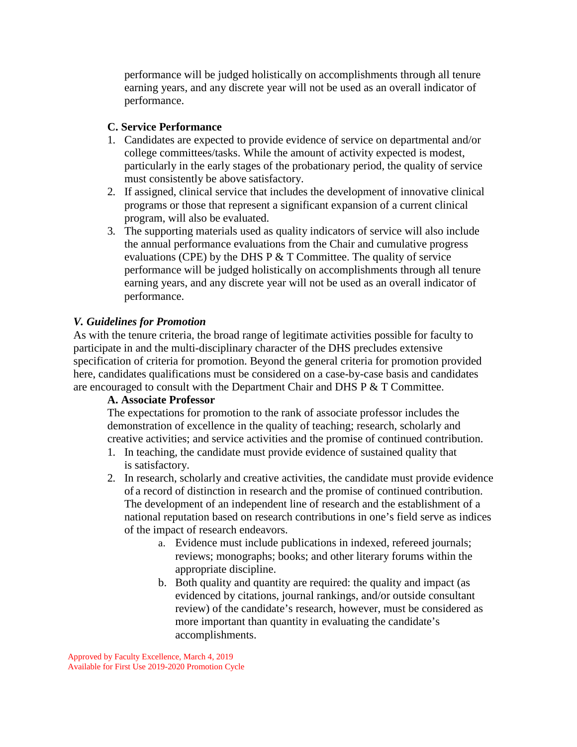performance will be judged holistically on accomplishments through all tenure earning years, and any discrete year will not be used as an overall indicator of performance.

# **C. Service Performance**

- 1. Candidates are expected to provide evidence of service on departmental and/or college committees/tasks. While the amount of activity expected is modest, particularly in the early stages of the probationary period, the quality of service must consistently be above satisfactory.
- 2. If assigned, clinical service that includes the development of innovative clinical programs or those that represent a significant expansion of a current clinical program, will also be evaluated.
- 3. The supporting materials used as quality indicators of service will also include the annual performance evaluations from the Chair and cumulative progress evaluations (CPE) by the DHS P  $&$  T Committee. The quality of service performance will be judged holistically on accomplishments through all tenure earning years, and any discrete year will not be used as an overall indicator of performance.

# *V. Guidelines for Promotion*

As with the tenure criteria, the broad range of legitimate activities possible for faculty to participate in and the multi-disciplinary character of the DHS precludes extensive specification of criteria for promotion. Beyond the general criteria for promotion provided here, candidates qualifications must be considered on a case-by-case basis and candidates are encouraged to consult with the Department Chair and DHS P & T Committee.

## **A. Associate Professor**

The expectations for promotion to the rank of associate professor includes the demonstration of excellence in the quality of teaching; research, scholarly and creative activities; and service activities and the promise of continued contribution.

- 1. In teaching, the candidate must provide evidence of sustained quality that is satisfactory.
- 2. In research, scholarly and creative activities, the candidate must provide evidence of a record of distinction in research and the promise of continued contribution. The development of an independent line of research and the establishment of a national reputation based on research contributions in one's field serve as indices of the impact of research endeavors.
	- a. Evidence must include publications in indexed, refereed journals; reviews; monographs; books; and other literary forums within the appropriate discipline.
	- b. Both quality and quantity are required: the quality and impact (as evidenced by citations, journal rankings, and/or outside consultant review) of the candidate's research, however, must be considered as more important than quantity in evaluating the candidate's accomplishments.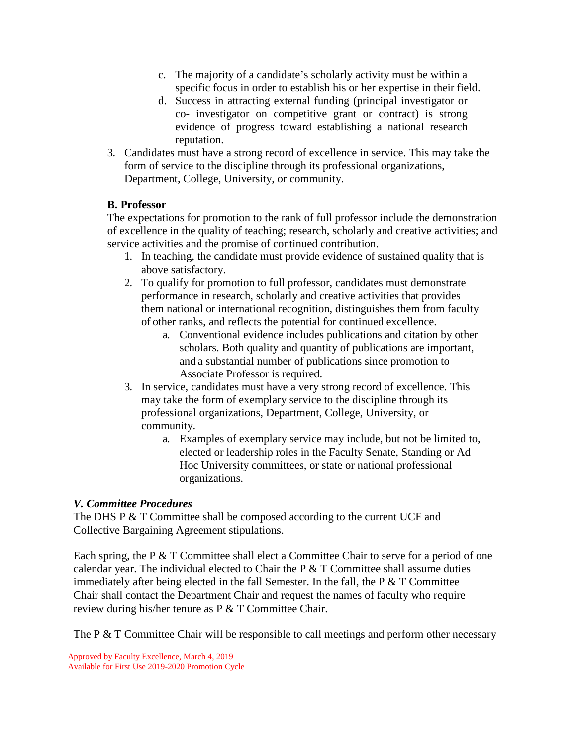- c. The majority of a candidate's scholarly activity must be within a specific focus in order to establish his or her expertise in their field.
- d. Success in attracting external funding (principal investigator or co- investigator on competitive grant or contract) is strong evidence of progress toward establishing a national research reputation.
- 3. Candidates must have a strong record of excellence in service. This may take the form of service to the discipline through its professional organizations, Department, College, University, or community.

# **B. Professor**

The expectations for promotion to the rank of full professor include the demonstration of excellence in the quality of teaching; research, scholarly and creative activities; and service activities and the promise of continued contribution.

- 1. In teaching, the candidate must provide evidence of sustained quality that is above satisfactory.
- 2. To qualify for promotion to full professor, candidates must demonstrate performance in research, scholarly and creative activities that provides them national or international recognition, distinguishes them from faculty of other ranks, and reflects the potential for continued excellence.
	- a. Conventional evidence includes publications and citation by other scholars. Both quality and quantity of publications are important, and a substantial number of publications since promotion to Associate Professor is required.
- 3. In service, candidates must have a very strong record of excellence. This may take the form of exemplary service to the discipline through its professional organizations, Department, College, University, or community.
	- a. Examples of exemplary service may include, but not be limited to, elected or leadership roles in the Faculty Senate, Standing or Ad Hoc University committees, or state or national professional organizations.

## *V. Committee Procedures*

The DHS P & T Committee shall be composed according to the current UCF and Collective Bargaining Agreement stipulations.

Each spring, the P  $&$  T Committee shall elect a Committee Chair to serve for a period of one calendar year. The individual elected to Chair the  $P \& T$  Committee shall assume duties immediately after being elected in the fall Semester. In the fall, the  $P \& T$  Committee Chair shall contact the Department Chair and request the names of faculty who require review during his/her tenure as P & T Committee Chair.

The P & T Committee Chair will be responsible to call meetings and perform other necessary